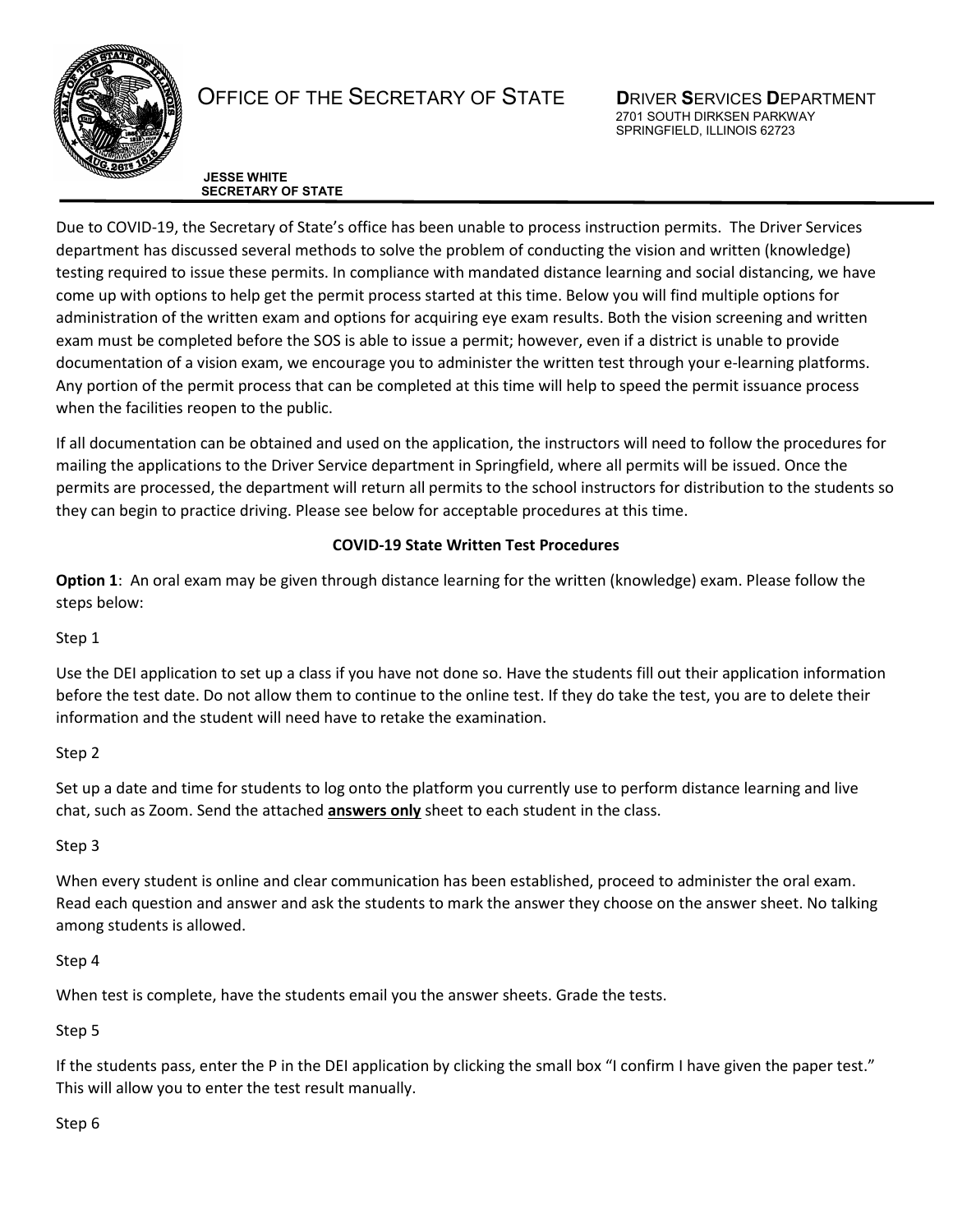

# OFFICE OF THE SECRETARY OF STATE **D**RIVER **S**ERVICES **D**EPARTMENT

 2701 SOUTH DIRKSEN PARKWAY SPRINGFIELD, ILLINOIS 62723

**JESSE WHITE SECRETARY OF STATE**

Due to COVID-19, the Secretary of State's office has been unable to process instruction permits. The Driver Services department has discussed several methods to solve the problem of conducting the vision and written (knowledge) testing required to issue these permits. In compliance with mandated distance learning and social distancing, we have come up with options to help get the permit process started at this time. Below you will find multiple options for administration of the written exam and options for acquiring eye exam results. Both the vision screening and written exam must be completed before the SOS is able to issue a permit; however, even if a district is unable to provide documentation of a vision exam, we encourage you to administer the written test through your e-learning platforms. Any portion of the permit process that can be completed at this time will help to speed the permit issuance process when the facilities reopen to the public.

If all documentation can be obtained and used on the application, the instructors will need to follow the procedures for mailing the applications to the Driver Service department in Springfield, where all permits will be issued. Once the permits are processed, the department will return all permits to the school instructors for distribution to the students so they can begin to practice driving. Please see below for acceptable procedures at this time.

## **COVID-19 State Written Test Procedures**

**Option 1**: An oral exam may be given through distance learning for the written (knowledge) exam. Please follow the steps below:

Step 1

Use the DEI application to set up a class if you have not done so. Have the students fill out their application information before the test date. Do not allow them to continue to the online test. If they do take the test, you are to delete their information and the student will need have to retake the examination.

# Step 2

Set up a date and time for students to log onto the platform you currently use to perform distance learning and live chat, such as Zoom. Send the attached **answers only** sheet to each student in the class.

# Step 3

When every student is online and clear communication has been established, proceed to administer the oral exam. Read each question and answer and ask the students to mark the answer they choose on the answer sheet. No talking among students is allowed.

## Step 4

When test is complete, have the students email you the answer sheets. Grade the tests.

# Step 5

If the students pass, enter the P in the DEI application by clicking the small box "I confirm I have given the paper test." This will allow you to enter the test result manually.

## Step 6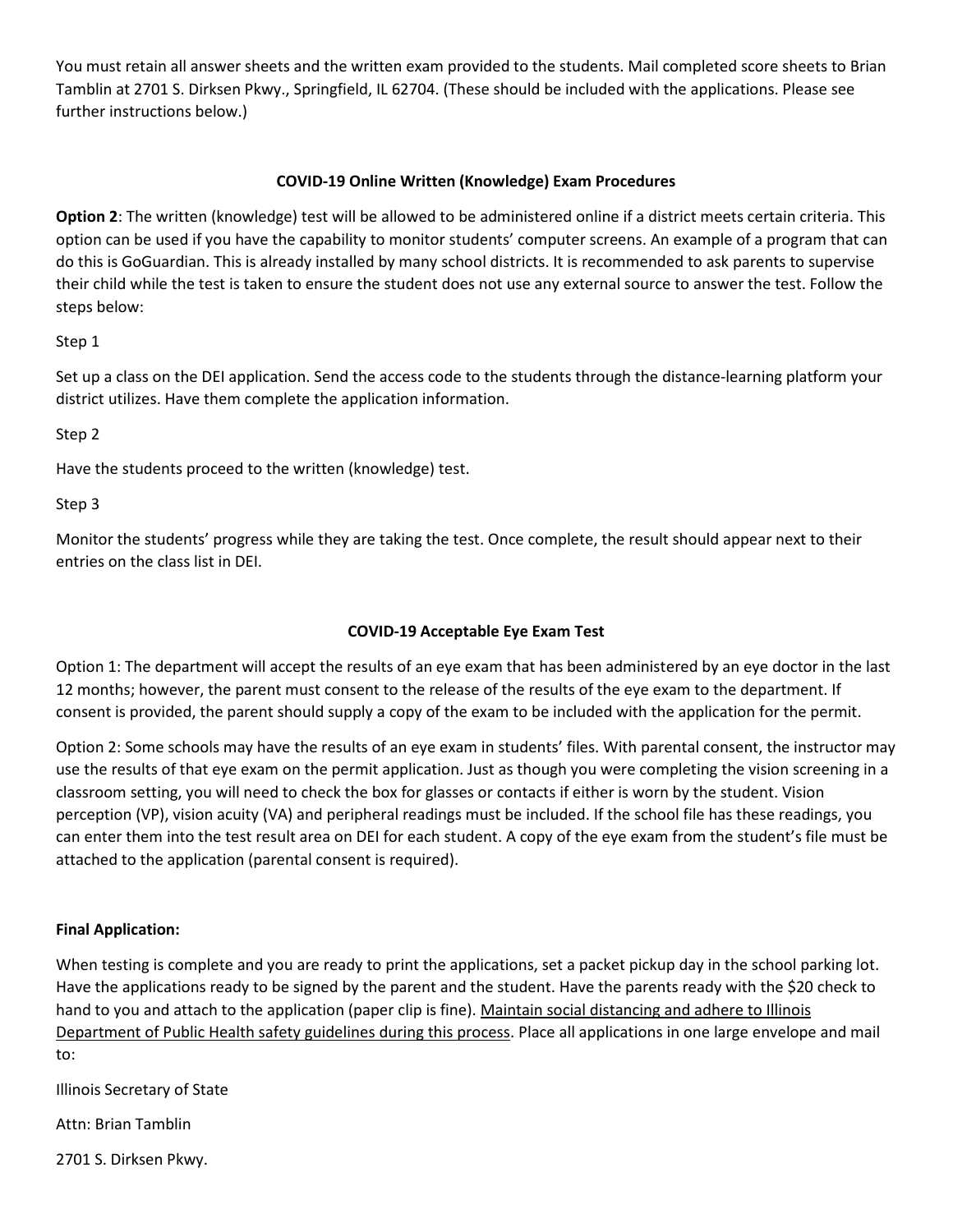You must retain all answer sheets and the written exam provided to the students. Mail completed score sheets to Brian Tamblin at 2701 S. Dirksen Pkwy., Springfield, IL 62704. (These should be included with the applications. Please see further instructions below.)

#### **COVID-19 Online Written (Knowledge) Exam Procedures**

**Option 2**: The written (knowledge) test will be allowed to be administered online if a district meets certain criteria. This option can be used if you have the capability to monitor students' computer screens. An example of a program that can do this is GoGuardian. This is already installed by many school districts. It is recommended to ask parents to supervise their child while the test is taken to ensure the student does not use any external source to answer the test. Follow the steps below:

#### Step 1

Set up a class on the DEI application. Send the access code to the students through the distance-learning platform your district utilizes. Have them complete the application information.

## Step 2

Have the students proceed to the written (knowledge) test.

#### Step 3

Monitor the students' progress while they are taking the test. Once complete, the result should appear next to their entries on the class list in DEI.

## **COVID-19 Acceptable Eye Exam Test**

Option 1: The department will accept the results of an eye exam that has been administered by an eye doctor in the last 12 months; however, the parent must consent to the release of the results of the eye exam to the department. If consent is provided, the parent should supply a copy of the exam to be included with the application for the permit.

Option 2: Some schools may have the results of an eye exam in students' files. With parental consent, the instructor may use the results of that eye exam on the permit application. Just as though you were completing the vision screening in a classroom setting, you will need to check the box for glasses or contacts if either is worn by the student. Vision perception (VP), vision acuity (VA) and peripheral readings must be included. If the school file has these readings, you can enter them into the test result area on DEI for each student. A copy of the eye exam from the student's file must be attached to the application (parental consent is required).

#### **Final Application:**

When testing is complete and you are ready to print the applications, set a packet pickup day in the school parking lot. Have the applications ready to be signed by the parent and the student. Have the parents ready with the \$20 check to hand to you and attach to the application (paper clip is fine). Maintain social distancing and adhere to Illinois Department of Public Health safety guidelines during this process. Place all applications in one large envelope and mail to:

Illinois Secretary of State

Attn: Brian Tamblin

2701 S. Dirksen Pkwy.